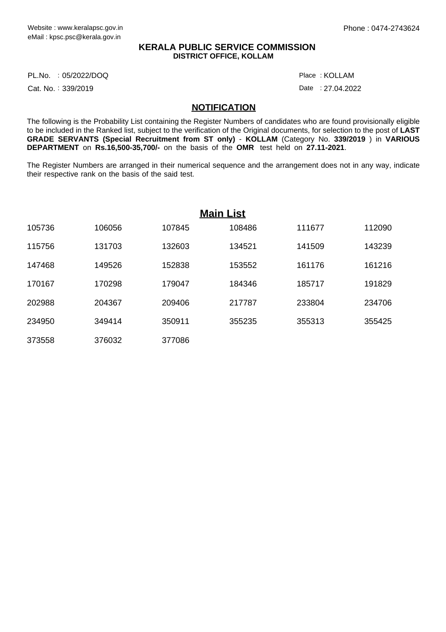## **KERALA PUBLIC SERVICE COMMISSION DISTRICT OFFICE, KOLLAM**

PL.No. :05/2022/DOQ Place

Cat. No.: 339/2019

Date : 27.04.2022 KOLLAM :

## **NOTIFICATION**

The following is the Probability List containing the Register Numbers of candidates who are found provisionally eligible to be included in the Ranked list, subject to the verification of the Original documents, for selection to the post of **LAST GRADE SERVANTS (Special Recruitment from ST only)** - **KOLLAM** (Category No. **339/2019** ) in **VARIOUS DEPARTMENT** on **Rs.16,500-35,700/-** on the basis of the **OMR** test held on **27.11-2021**.

The Register Numbers are arranged in their numerical sequence and the arrangement does not in any way, indicate their respective rank on the basis of the said test.

| <b>Main List</b> |        |        |        |        |        |
|------------------|--------|--------|--------|--------|--------|
| 105736           | 106056 | 107845 | 108486 | 111677 | 112090 |
| 115756           | 131703 | 132603 | 134521 | 141509 | 143239 |
| 147468           | 149526 | 152838 | 153552 | 161176 | 161216 |
| 170167           | 170298 | 179047 | 184346 | 185717 | 191829 |
| 202988           | 204367 | 209406 | 217787 | 233804 | 234706 |
| 234950           | 349414 | 350911 | 355235 | 355313 | 355425 |
| 373558           | 376032 | 377086 |        |        |        |